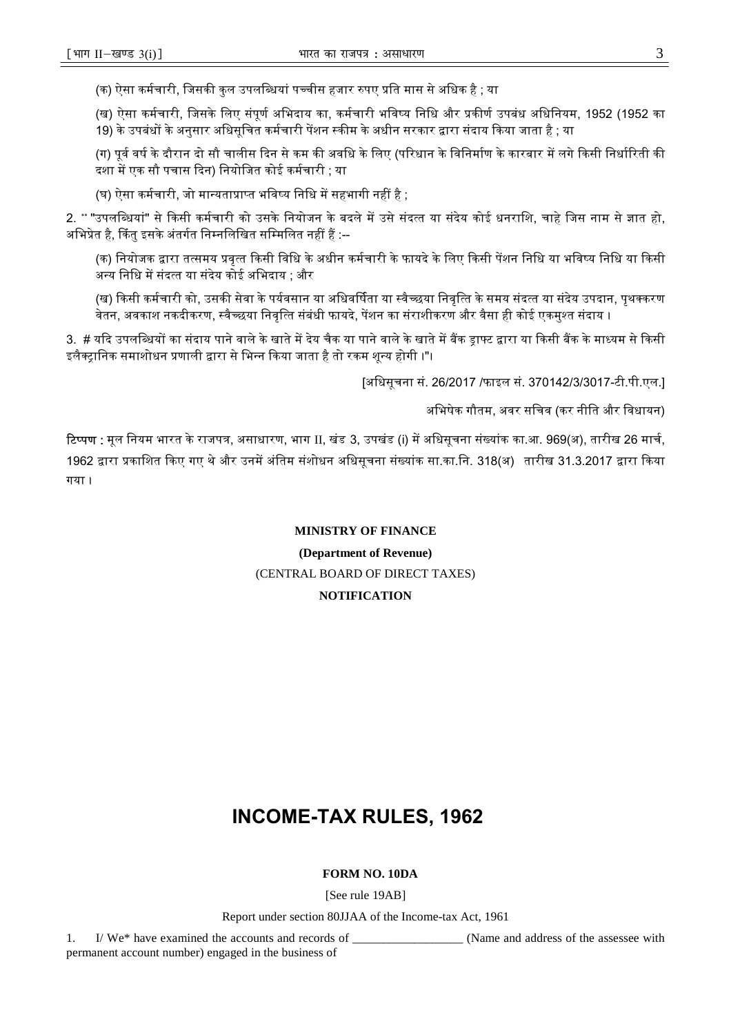# **INCOME-TAX RULES, 1962**

## **FORM NO. 10DA**

[See rule 19AB]

Report under section 80JJAA of the Income-tax Act, 1961

1. I/ We\* have examined the accounts and records of \_\_\_\_\_\_\_\_\_\_\_\_\_\_\_\_\_\_ (Name and address of the assessee with permanent account number) engaged in the business of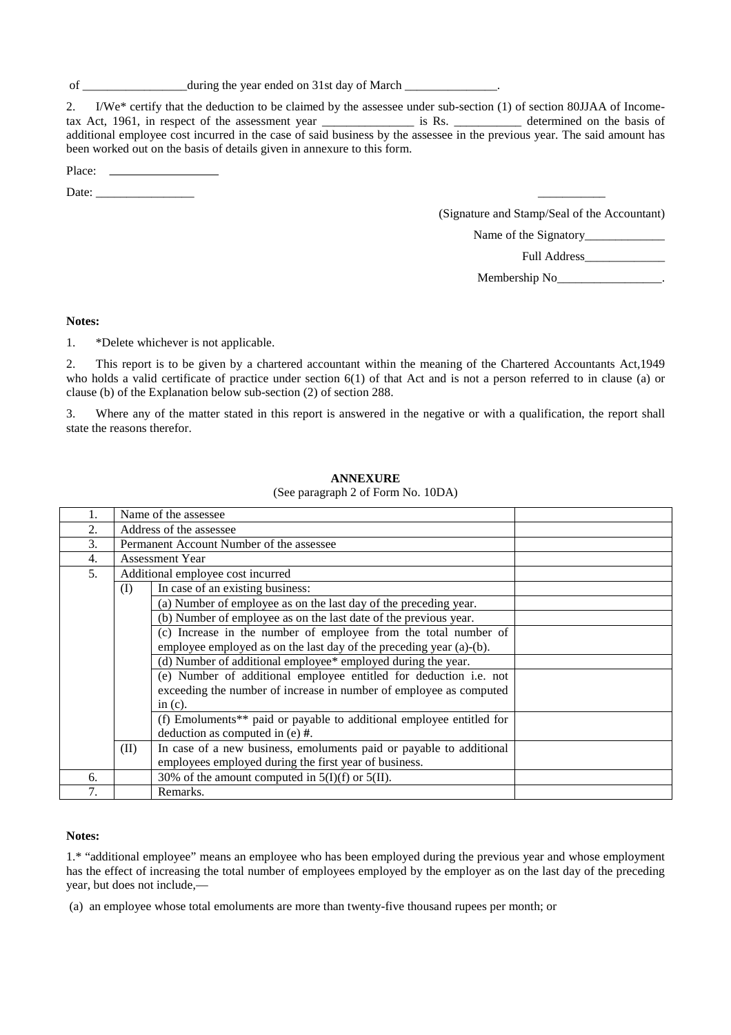of \_\_\_\_\_\_\_\_\_\_\_\_\_\_\_\_\_\_\_\_\_\_ during the year ended on 31st day of March \_\_\_\_\_

2. I/We\* certify that the deduction to be claimed by the assessee under sub-section (1) of section 80JJAA of Incometax Act, 1961, in respect of the assessment year \_\_\_\_\_\_\_\_\_\_\_\_\_\_\_ is Rs. \_\_\_\_\_\_\_\_\_\_\_ determined on the basis of additional employee cost incurred in the case of said business by the assessee in the previous year. The said amount has been worked out on the basis of details given in annexure to this form.

| 'lace' |  |
|--------|--|
| .      |  |

Date: \_\_\_\_\_\_\_\_\_\_\_\_\_\_\_\_ \_\_\_\_\_\_\_\_\_\_\_

(Signature and Stamp/Seal of the Accountant)

Name of the Signatory\_\_\_\_\_\_\_\_\_\_\_\_\_

Full Address\_\_\_\_\_\_\_\_\_\_\_\_\_

Membership No\_\_\_\_\_\_\_\_\_\_\_\_\_\_\_\_\_.

## **Notes:**

1. \*Delete whichever is not applicable.

2. This report is to be given by a chartered accountant within the meaning of the Chartered Accountants Act,1949 who holds a valid certificate of practice under section 6(1) of that Act and is not a person referred to in clause (a) or clause (b) of the Explanation below sub-section (2) of section 288.

3. Where any of the matter stated in this report is answered in the negative or with a qualification, the report shall state the reasons therefor.

## 1. Name of the assessee 2. Address of the assessee 3. Permanent Account Number of the assessee 4. Assessment Year 5. Additional employee cost incurred (I) In case of an existing business: (a) Number of employee as on the last day of the preceding year. (b) Number of employee as on the last date of the previous year. (c) Increase in the number of employee from the total number of employee employed as on the last day of the preceding year (a)-(b). (d) Number of additional employee\* employed during the year. (e) Number of additional employee entitled for deduction i.e. not exceeding the number of increase in number of employee as computed  $in (c)$ . (f) Emoluments\*\* paid or payable to additional employee entitled for deduction as computed in (e) **#**. (II) In case of a new business, emoluments paid or payable to additional employees employed during the first year of business. 6.  $\vert$  30% of the amount computed in 5(I)(f) or 5(II). 7. Remarks.

## **ANNEXURE**

(See paragraph 2 of Form No. 10DA)

#### **Notes:**

1.\* "additional employee" means an employee who has been employed during the previous year and whose employment has the effect of increasing the total number of employees employed by the employer as on the last day of the preceding year, but does not include,—

(a) an employee whose total emoluments are more than twenty-five thousand rupees per month; or